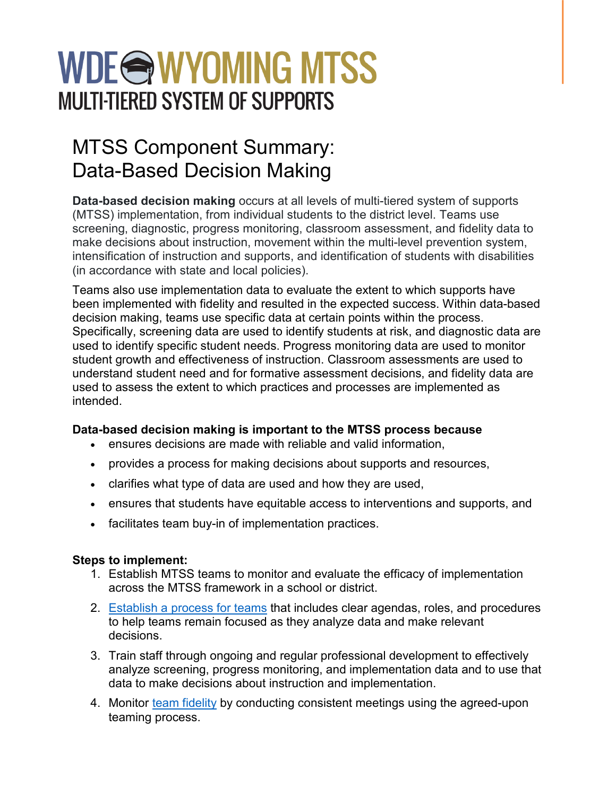# WDE**@WYOMING MTSS MULTI-TIERED SYSTEM OF SUPPORTS**

## MTSS Component Summary: Data-Based Decision Making

**Data-based decision making** occurs at all levels of multi-tiered system of supports (MTSS) implementation, from individual students to the district level. Teams use screening, diagnostic, progress monitoring, classroom assessment, and fidelity data to make decisions about instruction, movement within the multi-level prevention system, intensification of instruction and supports, and identification of students with disabilities (in accordance with state and local policies).

Teams also use implementation data to evaluate the extent to which supports have been implemented with fidelity and resulted in the expected success. Within data-based decision making, teams use specific data at certain points within the process. Specifically, screening data are used to identify students at risk, and diagnostic data are used to identify specific student needs. Progress monitoring data are used to monitor student growth and effectiveness of instruction. Classroom assessments are used to understand student need and for formative assessment decisions, and fidelity data are used to assess the extent to which practices and processes are implemented as intended.

#### **Data-based decision making is important to the MTSS process because**

- ensures decisions are made with reliable and valid information,
- provides a process for making decisions about supports and resources,
- clarifies what type of data are used and how they are used,
- ensures that students have equitable access to interventions and supports, and
- facilitates team buy-in of implementation practices.

### **Steps to implement:**

- 1. Establish MTSS teams to monitor and evaluate the efficacy of implementation across the MTSS framework in a school or district.
- 2. [Establish a process for teams](https://intensiveintervention.org/implementation-support/tools-support-intensive-intervention-data-meetings) that includes clear agendas, roles, and procedures to help teams remain focused as they analyze data and make relevant decisions.
- 3. Train staff through ongoing and regular professional development to effectively analyze screening, progress monitoring, and implementation data and to use that data to make decisions about instruction and implementation.
- 4. Monitor [team fidelity](https://intensiveintervention.org/resource/data-meeting-plan-fidelity-checklist) by conducting consistent meetings using the agreed-upon teaming process.